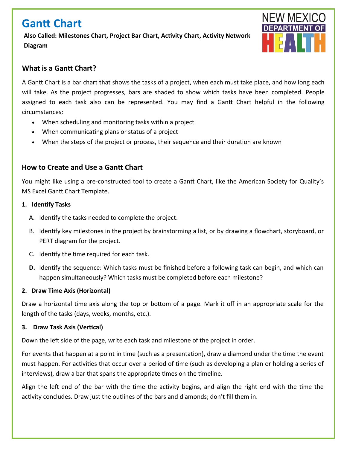# **Gantt Chart**

**Also Called: Milestones Chart, Project Bar Chart, Activity Chart, Activity Network Diagram**



## **What is a Gantt Chart?**

A Gantt Chart is a bar chart that shows the tasks of a project, when each must take place, and how long each will take. As the project progresses, bars are shaded to show which tasks have been completed. People assigned to each task also can be represented. You may find a Gantt Chart helpful in the following circumstances:

- When scheduling and monitoring tasks within a project
- When communicating plans or status of a project
- When the steps of the project or process, their sequence and their duration are known

### **How to Create and Use a Gantt Chart**

You might like using a pre-constructed tool to create a Gantt Chart, like the American Society for Quality's MS Excel Gantt Chart Template.

- **1. Identify Tasks**
	- A. Identify the tasks needed to complete the project.
	- B. Identify key milestones in the project by brainstorming a list, or by drawing a flowchart, storyboard, or PERT diagram for the project.
	- C. Identify the time required for each task.
	- **D.** Identify the sequence: Which tasks must be finished before a following task can begin, and which can happen simultaneously? Which tasks must be completed before each milestone?

#### **2. Draw Time Axis (Horizontal)**

Draw a horizontal time axis along the top or bottom of a page. Mark it off in an appropriate scale for the length of the tasks (days, weeks, months, etc.).

#### **3. Draw Task Axis (Vertical)**

Down the left side of the page, write each task and milestone of the project in order.

For events that happen at a point in time (such as a presentation), draw a diamond under the time the event must happen. For activities that occur over a period of time (such as developing a plan or holding a series of interviews), draw a bar that spans the appropriate times on the timeline.

Align the left end of the bar with the time the activity begins, and align the right end with the time the activity concludes. Draw just the outlines of the bars and diamonds; don't fill them in.